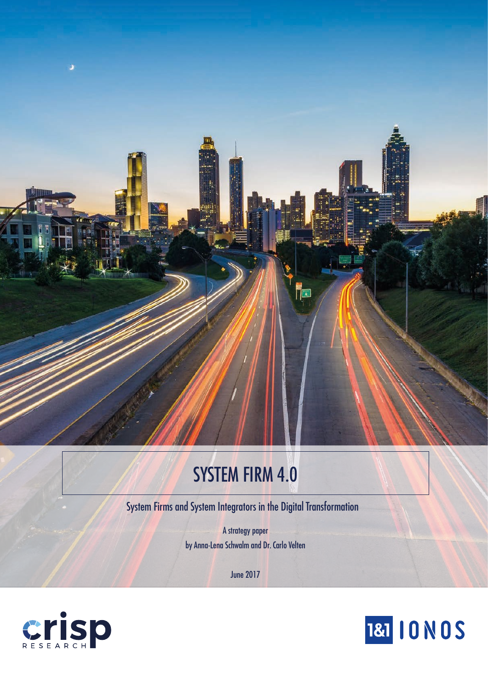# SYSTEM FIRM 4.0

Tei

System Firms and System Integrators in the Digital Transformation

A strategy paper by Anna-Lena Schwalm and Dr. Carlo Velten

June 2017



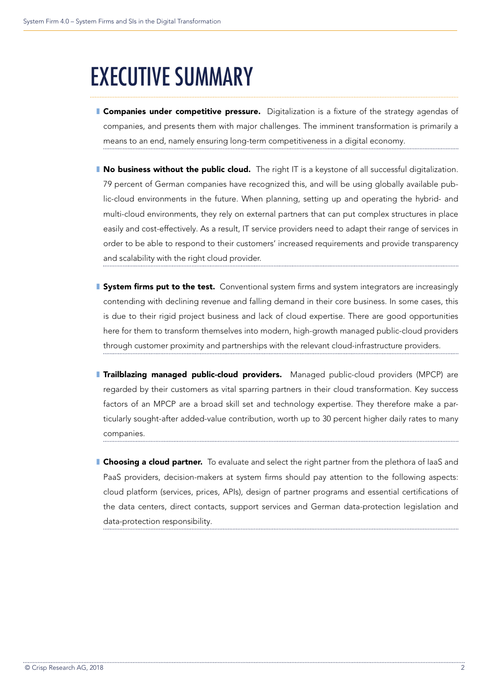# EXECUTIVE SUMMARY

- **Companies under competitive pressure.** Digitalization is a fixture of the strategy agendas of companies, and presents them with major challenges. The imminent transformation is primarily a means to an end, namely ensuring long-term competitiveness in a digital economy.
- **No business without the public cloud.** The right IT is a keystone of all successful digitalization. 79 percent of German companies have recognized this, and will be using globally available public-cloud environments in the future. When planning, setting up and operating the hybrid- and multi-cloud environments, they rely on external partners that can put complex structures in place easily and cost-effectively. As a result, IT service providers need to adapt their range of services in order to be able to respond to their customers' increased requirements and provide transparency and scalability with the right cloud provider.
- **System firms put to the test.** Conventional system firms and system integrators are increasingly contending with declining revenue and falling demand in their core business. In some cases, this is due to their rigid project business and lack of cloud expertise. There are good opportunities here for them to transform themselves into modern, high-growth managed public-cloud providers through customer proximity and partnerships with the relevant cloud-infrastructure providers.
- **Trailblazing managed public-cloud providers.** Managed public-cloud providers (MPCP) are regarded by their customers as vital sparring partners in their cloud transformation. Key success factors of an MPCP are a broad skill set and technology expertise. They therefore make a particularly sought-after added-value contribution, worth up to 30 percent higher daily rates to many companies.
- **Choosing a cloud partner.** To evaluate and select the right partner from the plethora of laaS and PaaS providers, decision-makers at system firms should pay attention to the following aspects: cloud platform (services, prices, APIs), design of partner programs and essential certifications of the data centers, direct contacts, support services and German data-protection legislation and data-protection responsibility.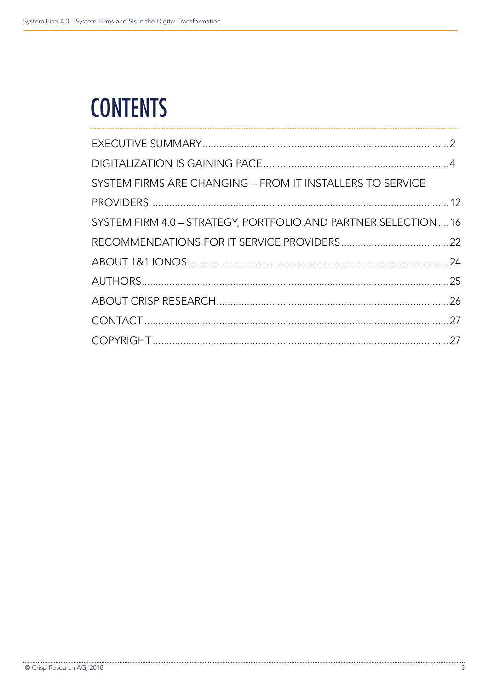# **CONTENTS**

| SYSTEM FIRMS ARE CHANGING - FROM IT INSTALLERS TO SERVICE     |  |
|---------------------------------------------------------------|--|
|                                                               |  |
| SYSTEM FIRM 4.0 - STRATEGY, PORTFOLIO AND PARTNER SELECTION16 |  |
|                                                               |  |
|                                                               |  |
|                                                               |  |
|                                                               |  |
|                                                               |  |
|                                                               |  |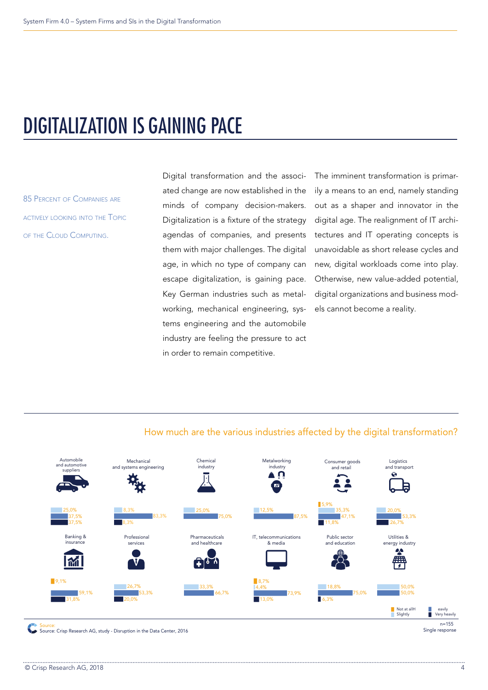### DIGITALIZATION IS GAINING PACE

85 Percent of Companies are actively looking into the Topic of the Cloud Computing.

Digital transformation and the associated change are now established in the minds of company decision-makers. Digitalization is a fixture of the strategy agendas of companies, and presents them with major challenges. The digital age, in which no type of company can escape digitalization, is gaining pace. Key German industries such as metalworking, mechanical engineering, systems engineering and the automobile industry are feeling the pressure to act in order to remain competitive.

The imminent transformation is primarily a means to an end, namely standing out as a shaper and innovator in the digital age. The realignment of IT architectures and IT operating concepts is unavoidable as short release cycles and new, digital workloads come into play. Otherwise, new value-added potential, digital organizations and business models cannot become a reality.



How much are the various industries affected by the digital transformation?

<mark>Source:</mark><br>Source: Crisp Research AG, study - Disruption in the Data Center, 2016

Single response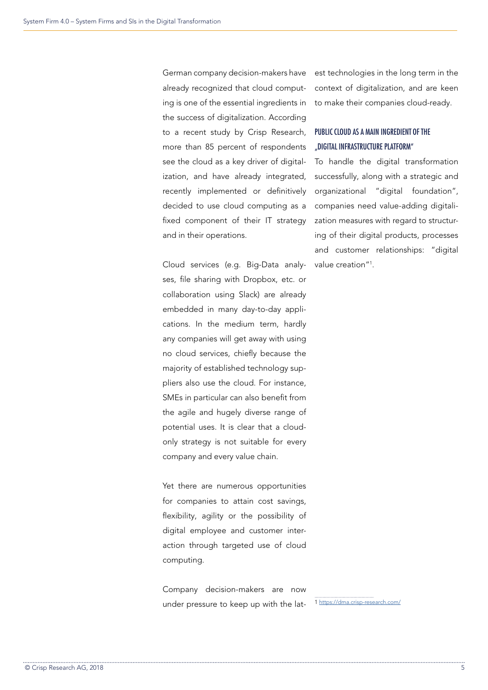German company decision-makers have already recognized that cloud computing is one of the essential ingredients in the success of digitalization. According to a recent study by Crisp Research, more than 85 percent of respondents see the cloud as a key driver of digitalization, and have already integrated, recently implemented or definitively decided to use cloud computing as a fixed component of their IT strategy and in their operations.

Cloud services (e.g. Big-Data analyses, file sharing with Dropbox, etc. or collaboration using Slack) are already embedded in many day-to-day applications. In the medium term, hardly any companies will get away with using no cloud services, chiefly because the majority of established technology suppliers also use the cloud. For instance, SMEs in particular can also benefit from the agile and hugely diverse range of potential uses. It is clear that a cloudonly strategy is not suitable for every company and every value chain.

Yet there are numerous opportunities for companies to attain cost savings, flexibility, agility or the possibility of digital employee and customer interaction through targeted use of cloud computing.

Company decision-makers are now under pressure to keep up with the latest technologies in the long term in the context of digitalization, and are keen to make their companies cloud-ready.

### PUBLIC CLOUD AS A MAIN INGREDIENT OF THE "DIGITAL INFRASTRUCTURE PLATFORM"

To handle the digital transformation successfully, along with a strategic and organizational "digital foundation", companies need value-adding digitalization measures with regard to structuring of their digital products, processes and customer relationships: "digital value creation"1 .

1<https://dma.crisp-research.com/>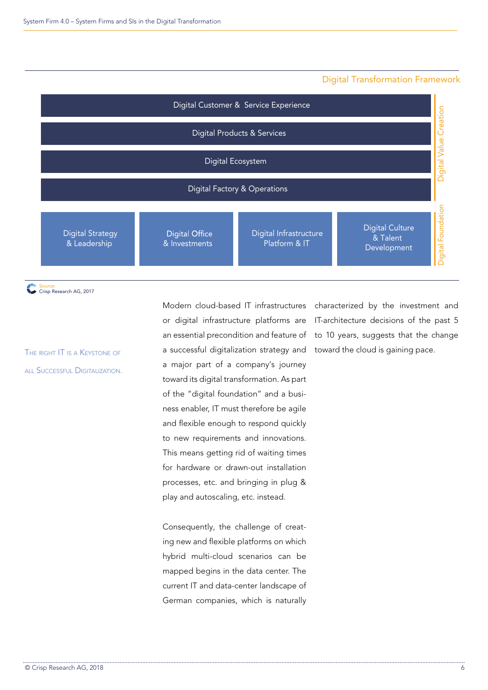### Digital Transformation Framework



Source:<br>Crisp Research AG, 2017

all Successful Digitalization.

Modern cloud-based IT infrastructures or digital infrastructure platforms are an essential precondition and feature of The right IT is a Keystone of  $\hskip1cm$  a successful digitalization strategy and  $\hskip1cm$  toward the cloud is gaining pace. a major part of a company's journey toward its digital transformation. As part of the "digital foundation" and a business enabler, IT must therefore be agile and flexible enough to respond quickly to new requirements and innovations. This means getting rid of waiting times for hardware or drawn-out installation processes, etc. and bringing in plug & play and autoscaling, etc. instead.

> Consequently, the challenge of creating new and flexible platforms on which hybrid multi-cloud scenarios can be mapped begins in the data center. The current IT and data-center landscape of German companies, which is naturally

characterized by the investment and IT-architecture decisions of the past 5 to 10 years, suggests that the change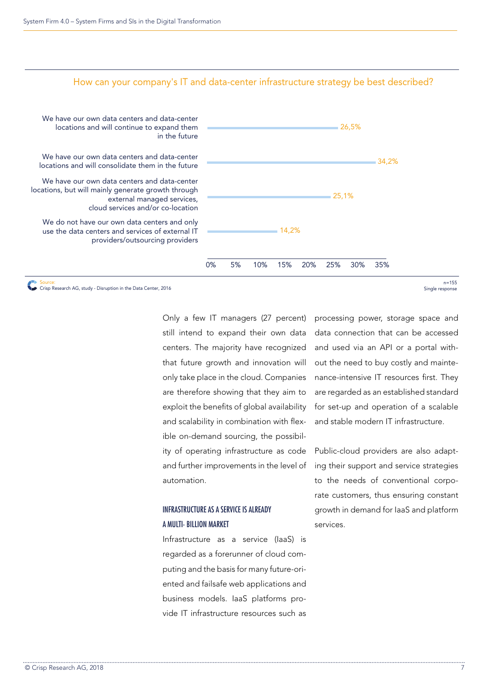How can your company's IT and data-center infrastructure strategy be best described?



<mark>Source</mark>:<br>Crisp Research AG, study - Disruption in the Data Center, 2016

Only a few IT managers (27 percent) still intend to expand their own data centers. The majority have recognized that future growth and innovation will only take place in the cloud. Companies are therefore showing that they aim to exploit the benefits of global availability and scalability in combination with flexible on-demand sourcing, the possibility of operating infrastructure as code and further improvements in the level of automation.

### INFRASTRUCTURE AS A SERVICE IS ALREADY A MULTI- BILLION MARKET

Infrastructure as a service (IaaS) is regarded as a forerunner of cloud computing and the basis for many future-oriented and failsafe web applications and business models. IaaS platforms provide IT infrastructure resources such as processing power, storage space and data connection that can be accessed and used via an API or a portal without the need to buy costly and maintenance-intensive IT resources first. They are regarded as an established standard for set-up and operation of a scalable and stable modern IT infrastructure.

Public-cloud providers are also adapting their support and service strategies to the needs of conventional corporate customers, thus ensuring constant growth in demand for IaaS and platform services.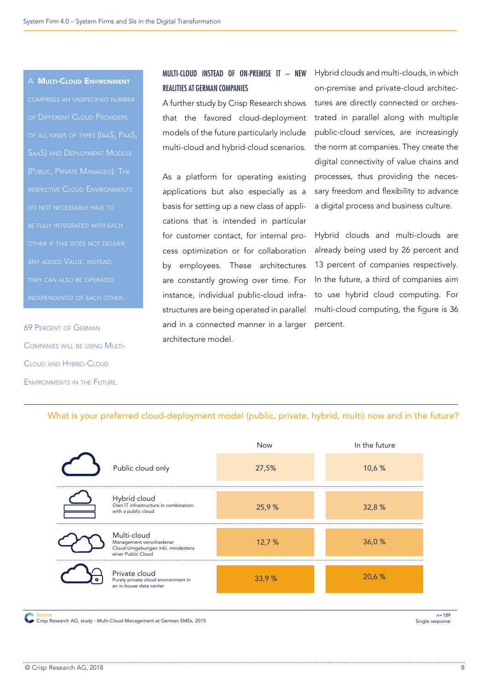### A Multi-Cloud Environment

comprises an unspecified number of Different Cloud Providers SaaS) and Deployment Models respective Cloud Environments do not necessarily have to be fully integrated with each other if this does not deliver any added Value. instead, they can also be operated

Companies will be using Multi-Cloud and Hybrid-Cloud Environments in the Future.

### MULTI-CLOUD INSTEAD OF ON-PREMISE IT – NEW REALITIES AT GERMAN COMPANIES

A further study by Crisp Research shows that the favored cloud-deployment models of the future particularly include multi-cloud and hybrid-cloud scenarios.

As a platform for operating existing applications but also especially as a basis for setting up a new class of applications that is intended in particular for customer contact, for internal process optimization or for collaboration by employees. These architectures are constantly growing over time. For instance, individual public-cloud infrastructures are being operated in parallel 69 PERCENT OF GERMAN **and in a connected manner in a larger** percent. architecture model.

Hybrid clouds and multi-clouds, in which on-premise and private-cloud architectures are directly connected or orchestrated in parallel along with multiple public-cloud services, are increasingly the norm at companies. They create the digital connectivity of value chains and processes, thus providing the necessary freedom and flexibility to advance a digital process and business culture.

Hybrid clouds and multi-clouds are already being used by 26 percent and 13 percent of companies respectively. In the future, a third of companies aim to use hybrid cloud computing. For multi-cloud computing, the figure is 36

### What is your preferred cloud-deployment model (public, private, hybrid, multi) now and in the future?

|                                                                                                    | <b>Now</b> | In the future |
|----------------------------------------------------------------------------------------------------|------------|---------------|
| Public cloud only                                                                                  | 27,5%      | 10,6 %        |
| Hybrid cloud<br>Own IT infrastructure in combination<br>with a public cloud                        | 25,9%      | 32,8%         |
| Multi-cloud<br>Management verschiedener<br>Cloud-Umgebungen inkl. mindestens<br>einer Public Cloud | 12,7%      | 36,0 %        |
| Private cloud<br>Purely private cloud environment in<br>an in-house data center                    | 33,9%      | 20,6 %        |

<mark>Source:</mark><br>Crisp Research AG, study - Multi-Cloud Management at German SMEs, 2015

n=189 Single response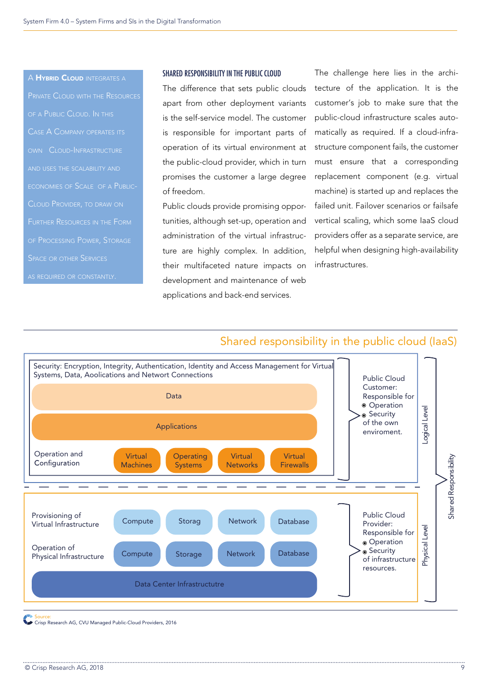### A **Hybrid Cloud** Integrates a

Private Cloud with the Resources of a Public Cloud. In this Case A Company operates its own Cloud-Infrastructure and uses the scalability and economies of Scale of a Public-Cloud Provider, to draw on Further Resources in the Form Space or other Services

#### SHARED RESPONSIBILITY IN THE PUBLIC CLOUD

The difference that sets public clouds apart from other deployment variants is the self-service model. The customer is responsible for important parts of operation of its virtual environment at the public-cloud provider, which in turn promises the customer a large degree of freedom.

Public clouds provide promising opportunities, although set-up, operation and administration of the virtual infrastructure are highly complex. In addition, their multifaceted nature impacts on development and maintenance of web applications and back-end services.

The challenge here lies in the architecture of the application. It is the customer's job to make sure that the public-cloud infrastructure scales automatically as required. If a cloud-infrastructure component fails, the customer must ensure that a corresponding replacement component (e.g. virtual machine) is started up and replaces the failed unit. Failover scenarios or failsafe vertical scaling, which some IaaS cloud providers offer as a separate service, are helpful when designing high-availability infrastructures.

### Shared responsibility in the public cloud (IaaS)



<mark>Source:</mark><br>Crisp Research AG, CVU Managed Public-Cloud Providers, 2016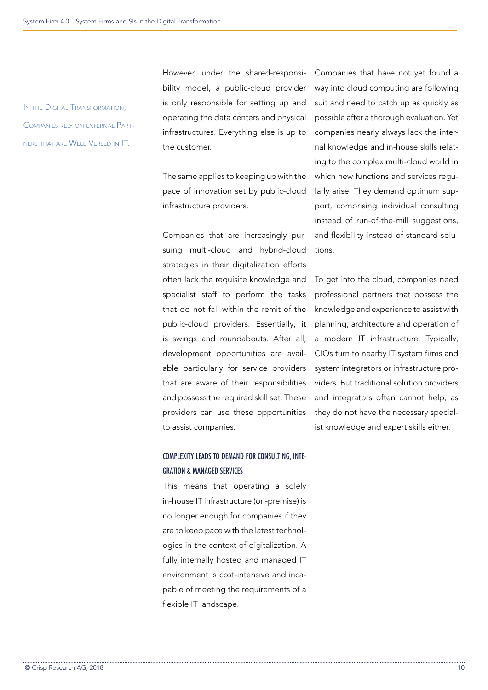IN THE DIGITAL TRANSFORMATION, Companies rely on external Partners that are Well-Versed in IT.

However, under the shared-responsibility model, a public-cloud provider is only responsible for setting up and operating the data centers and physical infrastructures. Everything else is up to the customer.

The same applies to keeping up with the pace of innovation set by public-cloud infrastructure providers.

Companies that are increasingly pursuing multi-cloud and hybrid-cloud strategies in their digitalization efforts often lack the requisite knowledge and specialist staff to perform the tasks that do not fall within the remit of the public-cloud providers. Essentially, it is swings and roundabouts. After all, development opportunities are available particularly for service providers that are aware of their responsibilities and possess the required skill set. These providers can use these opportunities to assist companies.

### COMPLEXITY LEADS TO DEMAND FOR CONSULTING, INTE-GRATION & MANAGED SERVICES

This means that operating a solely in-house IT infrastructure (on-premise) is no longer enough for companies if they are to keep pace with the latest technologies in the context of digitalization. A fully internally hosted and managed IT environment is cost-intensive and incapable of meeting the requirements of a flexible IT landscape.

Companies that have not yet found a way into cloud computing are following suit and need to catch up as quickly as possible after a thorough evaluation. Yet companies nearly always lack the internal knowledge and in-house skills relating to the complex multi-cloud world in which new functions and services regularly arise. They demand optimum support, comprising individual consulting instead of run-of-the-mill suggestions, and flexibility instead of standard solutions.

To get into the cloud, companies need professional partners that possess the knowledge and experience to assist with planning, architecture and operation of a modern IT infrastructure. Typically, CIOs turn to nearby IT system firms and system integrators or infrastructure providers. But traditional solution providers and integrators often cannot help, as they do not have the necessary specialist knowledge and expert skills either.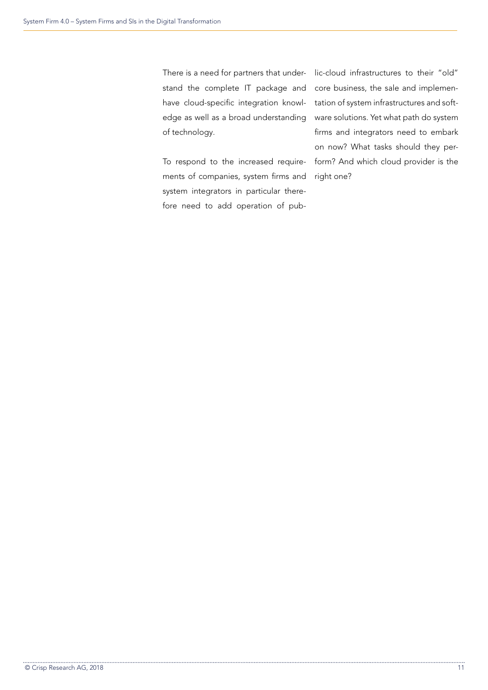There is a need for partners that understand the complete IT package and have cloud-specific integration knowledge as well as a broad understanding of technology.

To respond to the increased requirements of companies, system firms and system integrators in particular therefore need to add operation of pub-

lic-cloud infrastructures to their "old" core business, the sale and implementation of system infrastructures and software solutions. Yet what path do system firms and integrators need to embark on now? What tasks should they perform? And which cloud provider is the right one?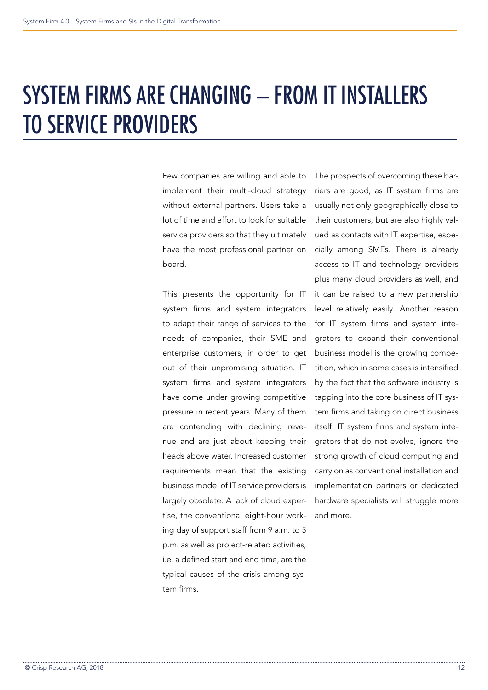# SYSTEM FIRMS ARE CHANGING – FROM IT INSTALLERS TO SERVICE PROVIDERS

Few companies are willing and able to implement their multi-cloud strategy without external partners. Users take a lot of time and effort to look for suitable service providers so that they ultimately have the most professional partner on board.

This presents the opportunity for IT system firms and system integrators to adapt their range of services to the needs of companies, their SME and enterprise customers, in order to get out of their unpromising situation. IT system firms and system integrators have come under growing competitive pressure in recent years. Many of them are contending with declining revenue and are just about keeping their heads above water. Increased customer requirements mean that the existing business model of IT service providers is largely obsolete. A lack of cloud expertise, the conventional eight-hour working day of support staff from 9 a.m. to 5 p.m. as well as project-related activities, i.e. a defined start and end time, are the typical causes of the crisis among system firms.

The prospects of overcoming these barriers are good, as IT system firms are usually not only geographically close to their customers, but are also highly valued as contacts with IT expertise, especially among SMEs. There is already access to IT and technology providers plus many cloud providers as well, and it can be raised to a new partnership level relatively easily. Another reason for IT system firms and system integrators to expand their conventional business model is the growing competition, which in some cases is intensified by the fact that the software industry is tapping into the core business of IT system firms and taking on direct business itself. IT system firms and system integrators that do not evolve, ignore the strong growth of cloud computing and carry on as conventional installation and implementation partners or dedicated hardware specialists will struggle more and more.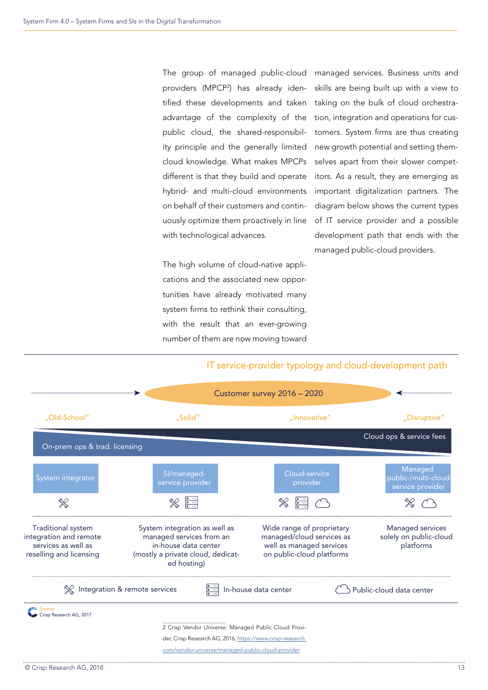The group of managed public-cloud providers (MPCP2 ) has already identified these developments and taken advantage of the complexity of the public cloud, the shared-responsibility principle and the generally limited cloud knowledge. What makes MPCPs different is that they build and operate hybrid- and multi-cloud environments on behalf of their customers and continuously optimize them proactively in line with technological advances.

The high volume of cloud-native applications and the associated new opportunities have already motivated many system firms to rethink their consulting, with the result that an ever-growing number of them are now moving toward managed services. Business units and skills are being built up with a view to taking on the bulk of cloud orchestration, integration and operations for customers. System firms are thus creating new growth potential and setting themselves apart from their slower competitors. As a result, they are emerging as important digitalization partners. The diagram below shows the current types of IT service provider and a possible development path that ends with the managed public-cloud providers.



### IT service-provider typology and cloud-development path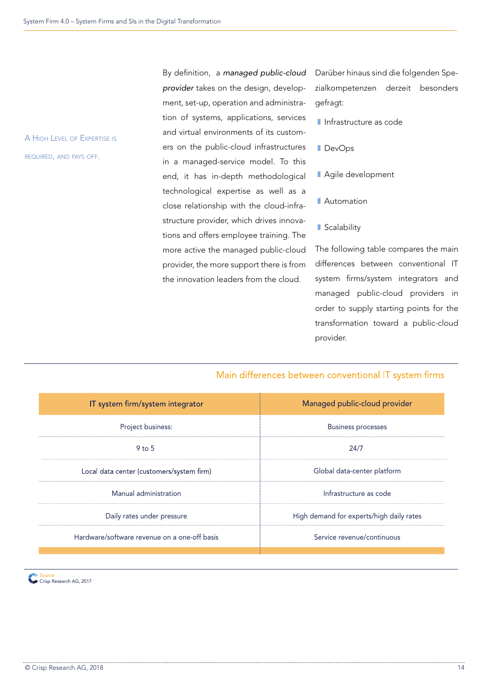A High Level of Expertise is required, and pays off.

By definition, a *managed public-cloud provider* takes on the design, development, set-up, operation and administration of systems, applications, services and virtual environments of its customers on the public-cloud infrastructures in a managed-service model. To this end, it has in-depth methodological technological expertise as well as a close relationship with the cloud-infrastructure provider, which drives innovations and offers employee training. The more active the managed public-cloud provider, the more support there is from the innovation leaders from the cloud.

Darüber hinaus sind die folgenden Spezialkompetenzen derzeit besonders gefragt:

- I Infrastructure as code
- DevOps
- Agile development
- **Automation**

### **Scalability**

The following table compares the main differences between conventional IT system firms/system integrators and managed public-cloud providers in order to supply starting points for the transformation toward a public-cloud provider.

### Main differences between conventional IT system firms

| IT system firm/system integrator             | Managed public-cloud provider            |  |
|----------------------------------------------|------------------------------------------|--|
| Project business:                            | <b>Business processes</b>                |  |
| $9$ to 5                                     | 24/7                                     |  |
| Local data center (customers/system firm)    | Global data-center platform              |  |
| Manual administration                        | Infrastructure as code                   |  |
| Daily rates under pressure                   | High demand for experts/high daily rates |  |
| Hardware/software revenue on a one-off basis | Service revenue/continuous               |  |
|                                              |                                          |  |

Source: Crisp Research AG, 2017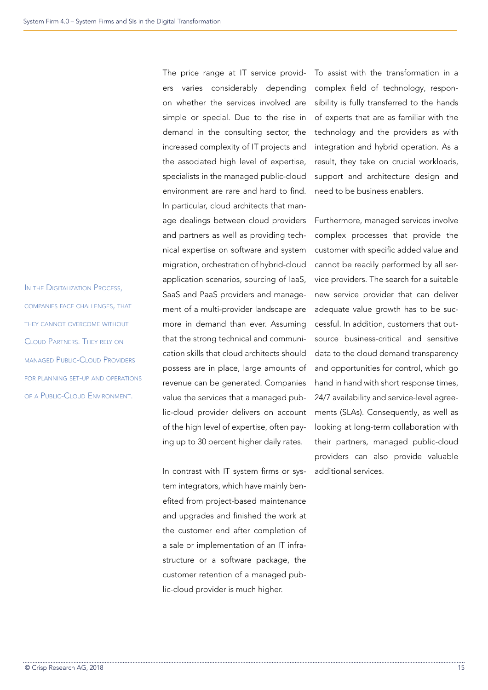IN THE DIGITALIZATION PROCESS. companies face challenges, that they cannot overcome without Cloud Partners. They rely on managed Public-Cloud Providers for planning set-up and operations of a Public-Cloud Environment.

The price range at IT service providers varies considerably depending on whether the services involved are simple or special. Due to the rise in demand in the consulting sector, the increased complexity of IT projects and the associated high level of expertise, specialists in the managed public-cloud environment are rare and hard to find. In particular, cloud architects that manage dealings between cloud providers and partners as well as providing technical expertise on software and system migration, orchestration of hybrid-cloud application scenarios, sourcing of IaaS, SaaS and PaaS providers and management of a multi-provider landscape are more in demand than ever. Assuming that the strong technical and communication skills that cloud architects should possess are in place, large amounts of revenue can be generated. Companies value the services that a managed public-cloud provider delivers on account of the high level of expertise, often paying up to 30 percent higher daily rates.

In contrast with IT system firms or system integrators, which have mainly benefited from project-based maintenance and upgrades and finished the work at the customer end after completion of a sale or implementation of an IT infrastructure or a software package, the customer retention of a managed public-cloud provider is much higher.

To assist with the transformation in a complex field of technology, responsibility is fully transferred to the hands of experts that are as familiar with the technology and the providers as with integration and hybrid operation. As a result, they take on crucial workloads, support and architecture design and need to be business enablers.

Furthermore, managed services involve complex processes that provide the customer with specific added value and cannot be readily performed by all service providers. The search for a suitable new service provider that can deliver adequate value growth has to be successful. In addition, customers that outsource business-critical and sensitive data to the cloud demand transparency and opportunities for control, which go hand in hand with short response times, 24/7 availability and service-level agreements (SLAs). Consequently, as well as looking at long-term collaboration with their partners, managed public-cloud providers can also provide valuable additional services.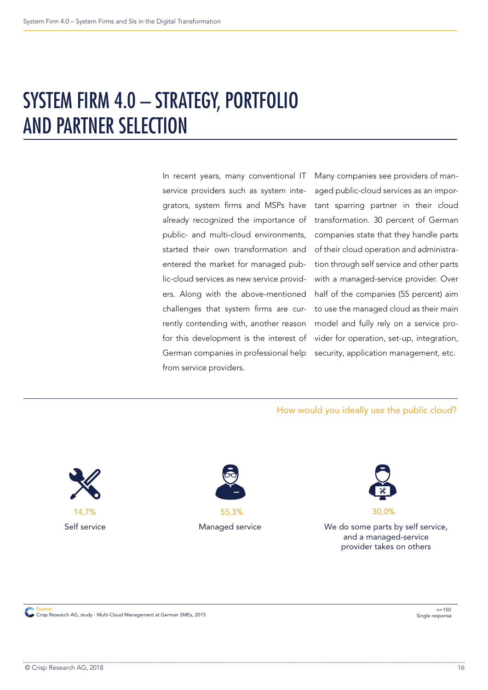## SYSTEM FIRM 4.0 – STRATEGY, PORTFOLIO AND PARTNER SELECTION

In recent years, many conventional IT service providers such as system integrators, system firms and MSPs have already recognized the importance of public- and multi-cloud environments, started their own transformation and entered the market for managed public-cloud services as new service providers. Along with the above-mentioned challenges that system firms are currently contending with, another reason for this development is the interest of German companies in professional help from service providers.

Many companies see providers of managed public-cloud services as an important sparring partner in their cloud transformation. 30 percent of German companies state that they handle parts of their cloud operation and administration through self service and other parts with a managed-service provider. Over half of the companies (55 percent) aim to use the managed cloud as their main model and fully rely on a service provider for operation, set-up, integration, security, application management, etc.

How would you ideally use the public cloud?





Self service **Managed** service



We do some parts by self service, and a managed-service provider takes on others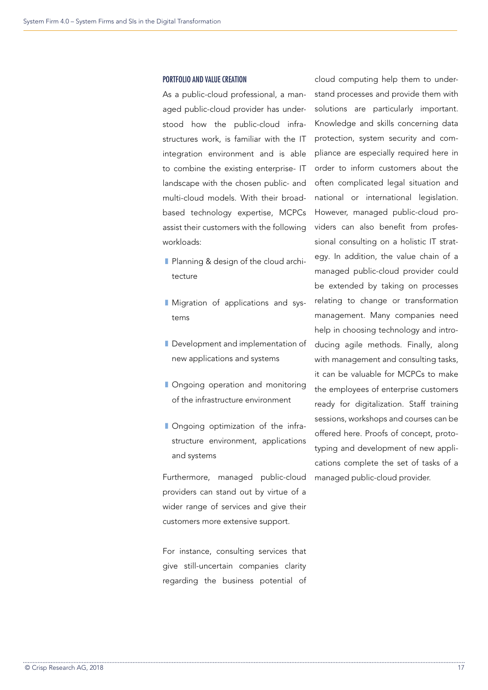### PORTFOLIO AND VALUE CREATION

As a public-cloud professional, a managed public-cloud provider has understood how the public-cloud infrastructures work, is familiar with the IT integration environment and is able to combine the existing enterprise- IT landscape with the chosen public- and multi-cloud models. With their broadbased technology expertise, MCPCs assist their customers with the following workloads:

- Planning & design of the cloud architecture
- I Migration of applications and systems
- **I** Development and implementation of new applications and systems
- **I** Ongoing operation and monitoring of the infrastructure environment
- **I** Ongoing optimization of the infrastructure environment, applications and systems

Furthermore, managed public-cloud providers can stand out by virtue of a wider range of services and give their customers more extensive support.

For instance, consulting services that give still-uncertain companies clarity regarding the business potential of cloud computing help them to understand processes and provide them with solutions are particularly important. Knowledge and skills concerning data protection, system security and compliance are especially required here in order to inform customers about the often complicated legal situation and national or international legislation. However, managed public-cloud providers can also benefit from professional consulting on a holistic IT strategy. In addition, the value chain of a managed public-cloud provider could be extended by taking on processes relating to change or transformation management. Many companies need help in choosing technology and introducing agile methods. Finally, along with management and consulting tasks, it can be valuable for MCPCs to make the employees of enterprise customers ready for digitalization. Staff training sessions, workshops and courses can be offered here. Proofs of concept, prototyping and development of new applications complete the set of tasks of a managed public-cloud provider.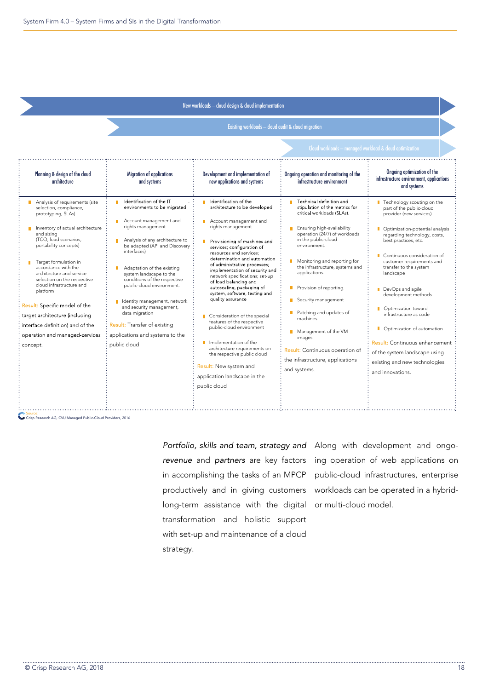### New workloads – cloud design & cloud implementation

### Existing workloads – cloud audit & cloud migration

| Planning & design of the cloud<br>architecture                                                                                                                                                                                                                                                                                                                                                                                                                                             | Migration of applications<br>and systems                                                                                                                                                                                                                                                                                                                                                                                                                                         | Development and implementation of<br>new applications and systems                                                                                                                                                                                                                                                                                                                                                                                                                                                                                                                                                                                                                                         | Ongoing operation and monitoring of the<br>infrastructure environment                                                                                                                                                                                                                                                                                                                                                                                                                                | Ongoing optimization of the<br>infrastructure environment, applications<br>and systems                                                                                                                                                                                                                                                                                                                                                                                                                                            |
|--------------------------------------------------------------------------------------------------------------------------------------------------------------------------------------------------------------------------------------------------------------------------------------------------------------------------------------------------------------------------------------------------------------------------------------------------------------------------------------------|----------------------------------------------------------------------------------------------------------------------------------------------------------------------------------------------------------------------------------------------------------------------------------------------------------------------------------------------------------------------------------------------------------------------------------------------------------------------------------|-----------------------------------------------------------------------------------------------------------------------------------------------------------------------------------------------------------------------------------------------------------------------------------------------------------------------------------------------------------------------------------------------------------------------------------------------------------------------------------------------------------------------------------------------------------------------------------------------------------------------------------------------------------------------------------------------------------|------------------------------------------------------------------------------------------------------------------------------------------------------------------------------------------------------------------------------------------------------------------------------------------------------------------------------------------------------------------------------------------------------------------------------------------------------------------------------------------------------|-----------------------------------------------------------------------------------------------------------------------------------------------------------------------------------------------------------------------------------------------------------------------------------------------------------------------------------------------------------------------------------------------------------------------------------------------------------------------------------------------------------------------------------|
| Analysis of requirements (site<br>selection, compliance,<br>prototyping, SLAs)<br>Inventory of actual architecture<br>and sizing<br>(TCO, load scenarios,<br>portability concepts)<br>Target formulation in<br>accordance with the<br>architecture and service<br>selection on the respective<br>cloud infrastructure and<br>platform<br>Result: Specific model of the<br>target architecture (including<br>interface definition) and of the<br>operation and managed-services<br>concept. | Identification of the IT<br>environments to be migrated<br>Account management and<br>rights management<br>Analysis of any architecture to<br>be adapted (API and Discovery<br>interfaces)<br>Adaptation of the existing<br>system landscape to the<br>conditions of the respective<br>public-cloud environment.<br>Identity management, network<br>and security management,<br>data migration<br>Result: Transfer of existing<br>applications and systems to the<br>public cloud | Identification of the<br>architecture to be developed<br>Account management and<br>rights management<br>Provisioning of machines and<br>services; configuration of<br>resources and services:<br>determination and automation<br>of administrative processes;<br>implementation of security and<br>network specifications; set-up<br>of load balancing and<br>autoscaling, packaging of<br>system, software, testing and<br>quality assurance<br>Consideration of the special<br>features of the respective<br>public-cloud environment<br>Implementation of the<br>architecture requirements on<br>the respective public cloud<br>Result: New system and<br>application landscape in the<br>public cloud | Technical definition and<br>stipulation of the metrics for<br>critical workloads (SLAs).<br>Ensuring high-availability<br>operation (24/7) of workloads<br>in the public-cloud<br>environment.<br>Monitoring and reporting for<br>the infrastructure, systems and<br>applications.<br>Provision of reporting.<br>Security management<br>Patching and updates of<br>machines<br>Management of the VM<br>images<br>Result: Continuous operation of<br>the infrastructure, applications<br>and systems. | Technology scouting on the<br>part of the public-cloud<br>provider (new services)<br>Optimization-potential analysis<br>regarding technology, costs,<br>best practices, etc.<br>Continuous consideration of<br>customer requirements and<br>transfer to the system<br>landscape<br>DevOps and agile<br>development methods<br>Optimization toward<br>infrastructure as code<br>Optimization of automation<br>Result: Continuous enhancement<br>of the system landscape using<br>existing and new technologies<br>and innovations. |

<mark>Source:</mark><br>Crisp Research AG, CVU Managed Public-Cloud Providers, 2016

in accomplishing the tasks of an MPCP productively and in giving customers long-term assistance with the digital or multi-cloud model. transformation and holistic support with set-up and maintenance of a cloud strategy.

*Portfolio, skills and team, strategy and*  Along with development and ongo*revenue* and *partners* are key factors ing operation of web applications on public-cloud infrastructures, enterprise workloads can be operated in a hybrid-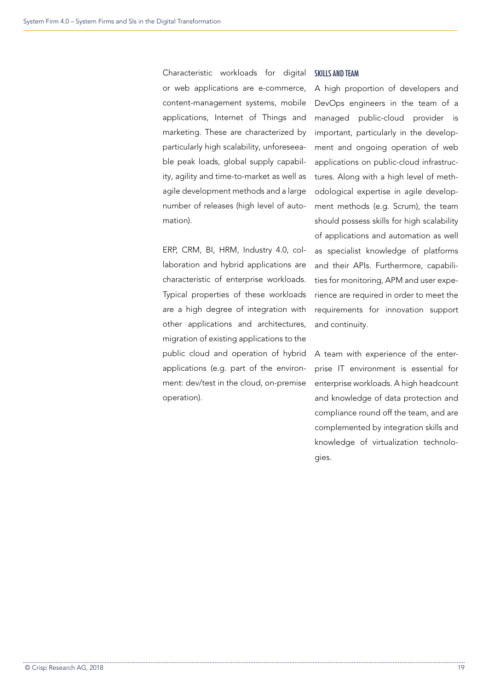Characteristic workloads for digital or web applications are e-commerce, content-management systems, mobile applications, Internet of Things and marketing. These are characterized by particularly high scalability, unforeseeable peak loads, global supply capability, agility and time-to-market as well as agile development methods and a large number of releases (high level of automation).

ERP, CRM, BI, HRM, Industry 4.0, collaboration and hybrid applications are characteristic of enterprise workloads. Typical properties of these workloads are a high degree of integration with other applications and architectures, migration of existing applications to the public cloud and operation of hybrid applications (e.g. part of the environment: dev/test in the cloud, on-premise operation).

### SKILLS AND TEAM

A high proportion of developers and DevOps engineers in the team of a managed public-cloud provider is important, particularly in the development and ongoing operation of web applications on public-cloud infrastructures. Along with a high level of methodological expertise in agile development methods (e.g. Scrum), the team should possess skills for high scalability of applications and automation as well as specialist knowledge of platforms and their APIs. Furthermore, capabilities for monitoring, APM and user experience are required in order to meet the requirements for innovation support and continuity.

A team with experience of the enterprise IT environment is essential for enterprise workloads. A high headcount and knowledge of data protection and compliance round off the team, and are complemented by integration skills and knowledge of virtualization technologies.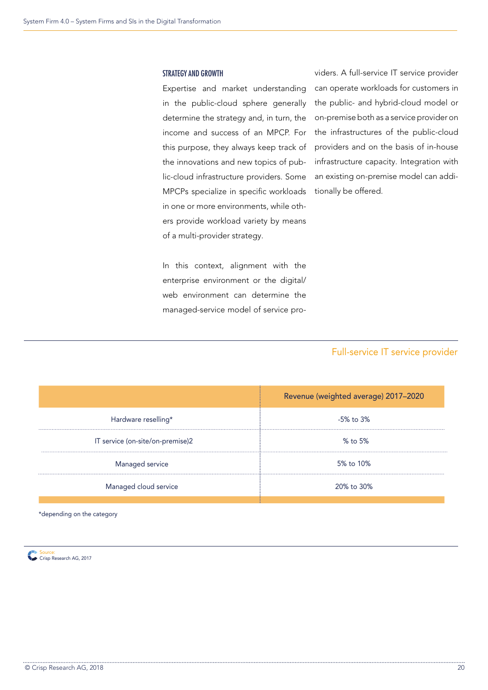### STRATEGY AND GROWTH

Expertise and market understanding in the public-cloud sphere generally determine the strategy and, in turn, the income and success of an MPCP. For this purpose, they always keep track of the innovations and new topics of public-cloud infrastructure providers. Some MPCPs specialize in specific workloads in one or more environments, while others provide workload variety by means of a multi-provider strategy.

In this context, alignment with the enterprise environment or the digital/ web environment can determine the managed-service model of service providers. A full-service IT service provider can operate workloads for customers in the public- and hybrid-cloud model or on-premise both as a service provider on the infrastructures of the public-cloud providers and on the basis of in-house infrastructure capacity. Integration with an existing on-premise model can additionally be offered.

### Full-service IT service provider

| Revenue (weighted average) 2017-2020 |  |
|--------------------------------------|--|
| -5% to 3%                            |  |
| % to 5%                              |  |
| 5% to 10%<br>.                       |  |
| 20% to 30%                           |  |
|                                      |  |

\*depending on the category

Source: Crisp Research AG, 2017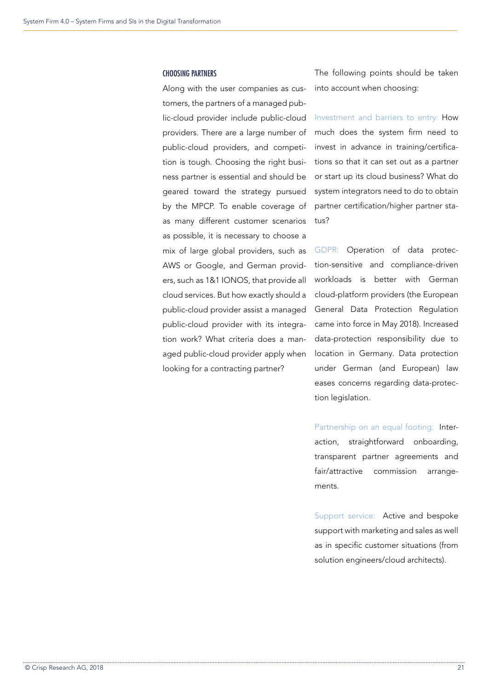### CHOOSING PARTNERS

Along with the user companies as customers, the partners of a managed public-cloud provider include public-cloud providers. There are a large number of public-cloud providers, and competition is tough. Choosing the right business partner is essential and should be geared toward the strategy pursued by the MPCP. To enable coverage of as many different customer scenarios as possible, it is necessary to choose a mix of large global providers, such as AWS or Google, and German providers, such as 1&1 IONOS, that provide all cloud services. But how exactly should a public-cloud provider assist a managed public-cloud provider with its integration work? What criteria does a managed public-cloud provider apply when looking for a contracting partner?

The following points should be taken into account when choosing:

Investment and barriers to entry: How much does the system firm need to invest in advance in training/certifications so that it can set out as a partner or start up its cloud business? What do system integrators need to do to obtain partner certification/higher partner status?

GDPR: Operation of data protection-sensitive and compliance-driven workloads is better with German cloud-platform providers (the European General Data Protection Regulation came into force in May 2018). Increased data-protection responsibility due to location in Germany. Data protection under German (and European) law eases concerns regarding data-protection legislation.

Partnership on an equal footing: Interaction, straightforward onboarding, transparent partner agreements and fair/attractive commission arrangements.

Support service: Active and bespoke support with marketing and sales as well as in specific customer situations (from solution engineers/cloud architects).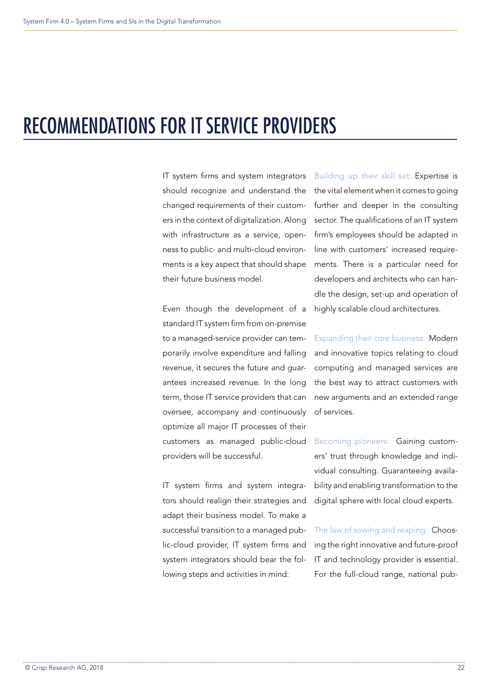### RECOMMENDATIONS FOR IT SERVICE PROVIDERS

IT system firms and system integrators should recognize and understand the changed requirements of their customers in the context of digitalization. Along with infrastructure as a service, openness to public- and multi-cloud environments is a key aspect that should shape their future business model.

Even though the development of a standard IT system firm from on-premise to a managed-service provider can temporarily involve expenditure and falling revenue, it secures the future and guarantees increased revenue. In the long term, those IT service providers that can oversee, accompany and continuously optimize all major IT processes of their customers as managed public-cloud providers will be successful.

IT system firms and system integrators should realign their strategies and adapt their business model. To make a successful transition to a managed public-cloud provider, IT system firms and system integrators should bear the following steps and activities in mind:

Building up their skill set: Expertise is the vital element when it comes to going further and deeper in the consulting sector. The qualifications of an IT system firm's employees should be adapted in line with customers' increased requirements. There is a particular need for developers and architects who can handle the design, set-up and operation of highly scalable cloud architectures.

Expanding their core business: Modern and innovative topics relating to cloud computing and managed services are the best way to attract customers with new arguments and an extended range of services.

Becoming pioneers: Gaining customers' trust through knowledge and individual consulting. Guaranteeing availability and enabling transformation to the digital sphere with local cloud experts.

The law of sowing and reaping: Choosing the right innovative and future-proof IT and technology provider is essential. For the full-cloud range, national pub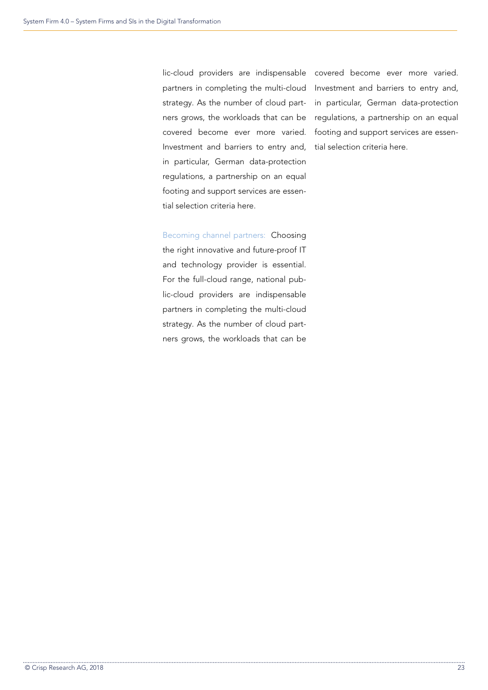lic-cloud providers are indispensable partners in completing the multi-cloud strategy. As the number of cloud partners grows, the workloads that can be covered become ever more varied. Investment and barriers to entry and, in particular, German data-protection regulations, a partnership on an equal footing and support services are essential selection criteria here.

Becoming channel partners: Choosing the right innovative and future-proof IT and technology provider is essential. For the full-cloud range, national public-cloud providers are indispensable partners in completing the multi-cloud strategy. As the number of cloud partners grows, the workloads that can be

covered become ever more varied. Investment and barriers to entry and, in particular, German data-protection regulations, a partnership on an equal footing and support services are essential selection criteria here.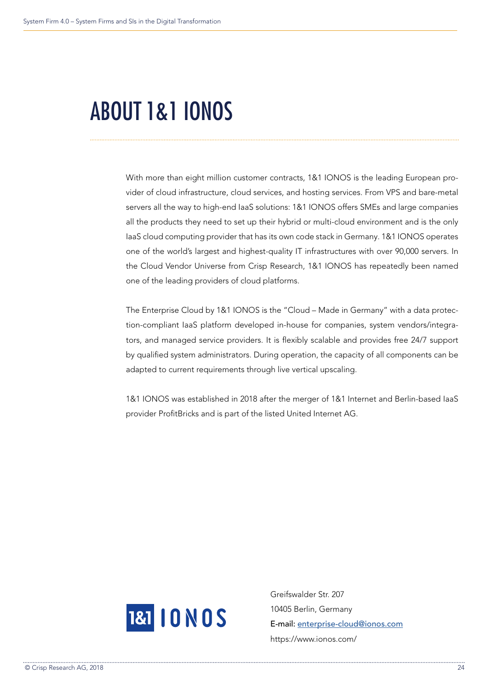# ABOUT 1&1 IONOS

With more than eight million customer contracts, 1&1 IONOS is the leading European provider of cloud infrastructure, cloud services, and hosting services. From VPS and bare-metal servers all the way to high-end IaaS solutions: 1&1 IONOS offers SMEs and large companies all the products they need to set up their hybrid or multi-cloud environment and is the only IaaS cloud computing provider that has its own code stack in Germany. 1&1 IONOS operates one of the world's largest and highest-quality IT infrastructures with over 90,000 servers. In the Cloud Vendor Universe from Crisp Research, 1&1 IONOS has repeatedly been named one of the leading providers of cloud platforms.

The Enterprise Cloud by 1&1 IONOS is the "Cloud – Made in Germany" with a data protection-compliant IaaS platform developed in-house for companies, system vendors/integrators, and managed service providers. It is flexibly scalable and provides free 24/7 support by qualified system administrators. During operation, the capacity of all components can be adapted to current requirements through live vertical upscaling.

1&1 IONOS was established in 2018 after the merger of 1&1 Internet and Berlin-based IaaS provider ProfitBricks and is part of the listed United Internet AG.



Greifswalder Str. 207 10405 Berlin, Germany E-mail: enterprise-cloud@ionos.com <https://www.ionos.com/>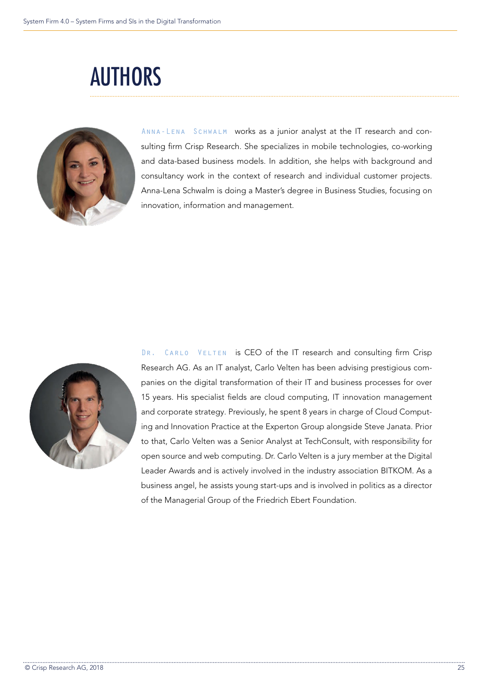# AUTHORS



Anna-Lena Schwalm works as a junior analyst at the IT research and consulting firm Crisp Research. She specializes in mobile technologies, co-working and data-based business models. In addition, she helps with background and consultancy work in the context of research and individual customer projects. Anna-Lena Schwalm is doing a Master's degree in Business Studies, focusing on innovation, information and management.



DR. CARLO VELTEN is CEO of the IT research and consulting firm Crisp Research AG. As an IT analyst, Carlo Velten has been advising prestigious companies on the digital transformation of their IT and business processes for over 15 years. His specialist fields are cloud computing, IT innovation management and corporate strategy. Previously, he spent 8 years in charge of Cloud Computing and Innovation Practice at the Experton Group alongside Steve Janata. Prior to that, Carlo Velten was a Senior Analyst at TechConsult, with responsibility for open source and web computing. Dr. Carlo Velten is a jury member at the Digital Leader Awards and is actively involved in the industry association BITKOM. As a business angel, he assists young start-ups and is involved in politics as a director of the Managerial Group of the Friedrich Ebert Foundation.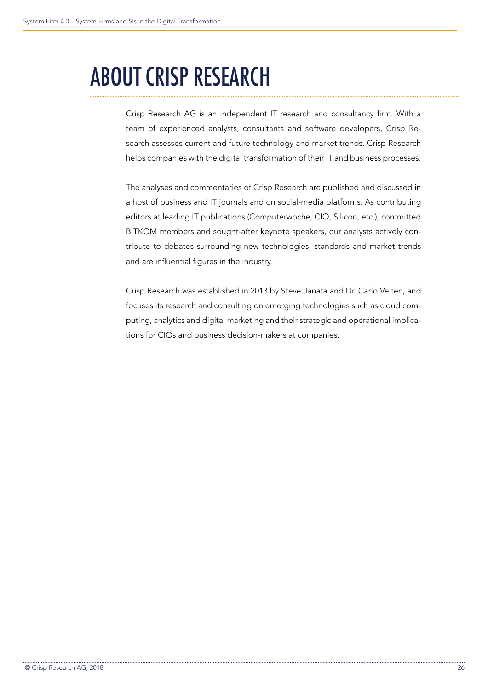# ABOUT CRISP RESEARCH

Crisp Research AG is an independent IT research and consultancy firm. With a team of experienced analysts, consultants and software developers, Crisp Research assesses current and future technology and market trends. Crisp Research helps companies with the digital transformation of their IT and business processes.

The analyses and commentaries of Crisp Research are published and discussed in a host of business and IT journals and on social-media platforms. As contributing editors at leading IT publications (Computerwoche, CIO, Silicon, etc.), committed BITKOM members and sought-after keynote speakers, our analysts actively contribute to debates surrounding new technologies, standards and market trends and are influential figures in the industry.

Crisp Research was established in 2013 by Steve Janata and Dr. Carlo Velten, and focuses its research and consulting on emerging technologies such as cloud computing, analytics and digital marketing and their strategic and operational implications for CIOs and business decision-makers at companies.